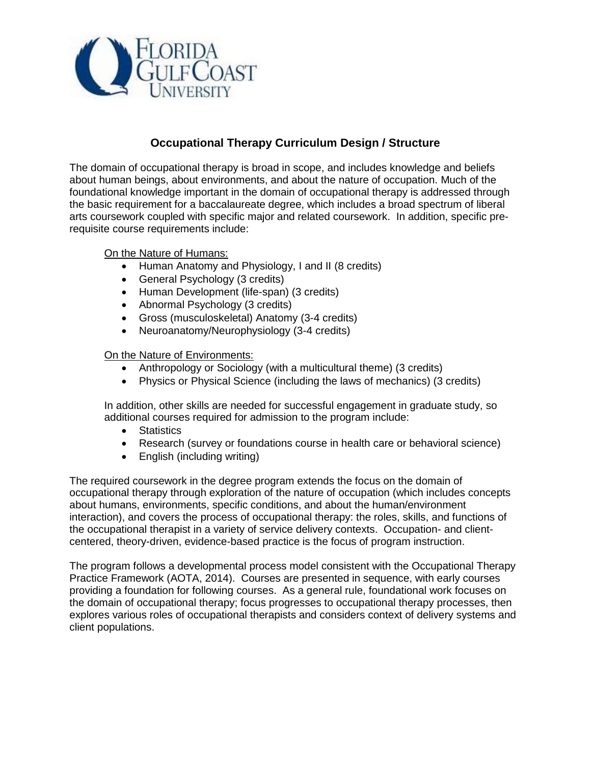

# **Occupational Therapy Curriculum Design / Structure**

The domain of occupational therapy is broad in scope, and includes knowledge and beliefs about human beings, about environments, and about the nature of occupation. Much of the foundational knowledge important in the domain of occupational therapy is addressed through the basic requirement for a baccalaureate degree, which includes a broad spectrum of liberal arts coursework coupled with specific major and related coursework. In addition, specific prerequisite course requirements include:

On the Nature of Humans:

- Human Anatomy and Physiology, I and II (8 credits)
- General Psychology (3 credits)
- Human Development (life-span) (3 credits)
- Abnormal Psychology (3 credits)
- Gross (musculoskeletal) Anatomy (3-4 credits)
- Neuroanatomy/Neurophysiology (3-4 credits)

## On the Nature of Environments:

- Anthropology or Sociology (with a multicultural theme) (3 credits)
- Physics or Physical Science (including the laws of mechanics) (3 credits)

In addition, other skills are needed for successful engagement in graduate study, so additional courses required for admission to the program include:

- Statistics
- Research (survey or foundations course in health care or behavioral science)
- English (including writing)

The required coursework in the degree program extends the focus on the domain of occupational therapy through exploration of the nature of occupation (which includes concepts about humans, environments, specific conditions, and about the human/environment interaction), and covers the process of occupational therapy: the roles, skills, and functions of the occupational therapist in a variety of service delivery contexts. Occupation- and clientcentered, theory-driven, evidence-based practice is the focus of program instruction.

The program follows a developmental process model consistent with the Occupational Therapy Practice Framework (AOTA, 2014). Courses are presented in sequence, with early courses providing a foundation for following courses. As a general rule, foundational work focuses on the domain of occupational therapy; focus progresses to occupational therapy processes, then explores various roles of occupational therapists and considers context of delivery systems and client populations.